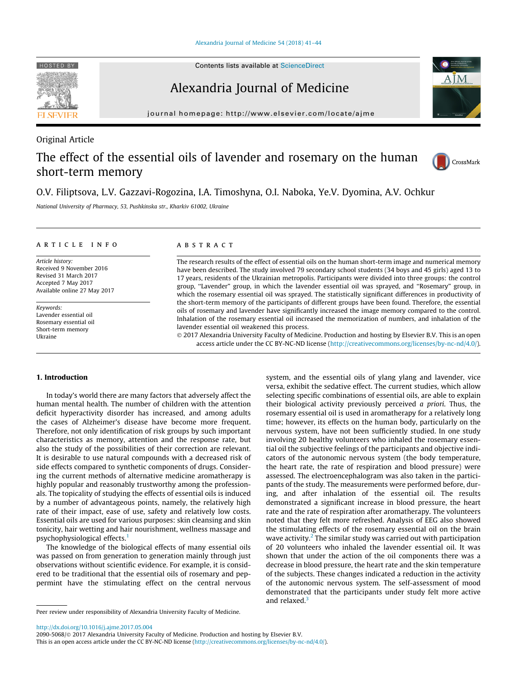[Alexandria Journal of Medicine 54 \(2018\) 41–44](http://dx.doi.org/10.1016/j.ajme.2017.05.004)

# Alexandria Journal of Medicine

journal homepage: [http://www.elsevier.com/locate/ajme](http://http://www.elsevier.com/locate/ajme)

## Original Article

# The effect of the essential oils of lavender and rosemary on the human short-term memory



O.V. Filiptsova, L.V. Gazzavi-Rogozina, I.A. Timoshyna, O.I. Naboka, Ye.V. Dyomina, A.V. Ochkur

National University of Pharmacy, 53, Pushkinska str., Kharkiv 61002, Ukraine

### article info

Article history: Received 9 November 2016 Revised 31 March 2017 Accepted 7 May 2017 Available online 27 May 2017

Keywords: Lavender essential oil Rosemary essential oil Short-term memory Ukraine

## **ABSTRACT**

The research results of the effect of essential oils on the human short-term image and numerical memory have been described. The study involved 79 secondary school students (34 boys and 45 girls) aged 13 to 17 years, residents of the Ukrainian metropolis. Participants were divided into three groups: the control group, ''Lavender" group, in which the lavender essential oil was sprayed, and ''Rosemary" group, in which the rosemary essential oil was sprayed. The statistically significant differences in productivity of the short-term memory of the participants of different groups have been found. Therefore, the essential oils of rosemary and lavender have significantly increased the image memory compared to the control. Inhalation of the rosemary essential oil increased the memorization of numbers, and inhalation of the lavender essential oil weakened this process.

 2017 Alexandria University Faculty of Medicine. Production and hosting by Elsevier B.V. This is an open access article under the CC BY-NC-ND license (<http://creativecommons.org/licenses/by-nc-nd/4.0/>).

#### 1. Introduction

In today's world there are many factors that adversely affect the human mental health. The number of children with the attention deficit hyperactivity disorder has increased, and among adults the cases of Alzheimer's disease have become more frequent. Therefore, not only identification of risk groups by such important characteristics as memory, attention and the response rate, but also the study of the possibilities of their correction are relevant. It is desirable to use natural compounds with a decreased risk of side effects compared to synthetic components of drugs. Considering the current methods of alternative medicine aromatherapy is highly popular and reasonably trustworthy among the professionals. The topicality of studying the effects of essential oils is induced by a number of advantageous points, namely, the relatively high rate of their impact, ease of use, safety and relatively low costs. Essential oils are used for various purposes: skin cleansing and skin tonicity, hair wetting and hair nourishment, wellness massage and psychophysiological effects.<sup>[1](#page-3-0)</sup>

The knowledge of the biological effects of many essential oils was passed on from generation to generation mainly through just observations without scientific evidence. For example, it is considered to be traditional that the essential oils of rosemary and peppermint have the stimulating effect on the central nervous

system, and the essential oils of ylang ylang and lavender, vice versa, exhibit the sedative effect. The current studies, which allow selecting specific combinations of essential oils, are able to explain their biological activity previously perceived a priori. Thus, the rosemary essential oil is used in aromatherapy for a relatively long time; however, its effects on the human body, particularly on the nervous system, have not been sufficiently studied. In one study involving 20 healthy volunteers who inhaled the rosemary essential oil the subjective feelings of the participants and objective indicators of the autonomic nervous system (the body temperature, the heart rate, the rate of respiration and blood pressure) were assessed. The electroencephalogram was also taken in the participants of the study. The measurements were performed before, during, and after inhalation of the essential oil. The results demonstrated a significant increase in blood pressure, the heart rate and the rate of respiration after aromatherapy. The volunteers noted that they felt more refreshed. Analysis of EEG also showed the stimulating effects of the rosemary essential oil on the brain wave activity.<sup>2</sup> The similar study was carried out with participation of 20 volunteers who inhaled the lavender essential oil. It was shown that under the action of the oil components there was a decrease in blood pressure, the heart rate and the skin temperature of the subjects. These changes indicated a reduction in the activity of the autonomic nervous system. The self-assessment of mood demonstrated that the participants under study felt more active and relaxed. $3$ 

<http://dx.doi.org/10.1016/j.ajme.2017.05.004>

2090-5068/ 2017 Alexandria University Faculty of Medicine. Production and hosting by Elsevier B.V. This is an open access article under the CC BY-NC-ND license ([http://creativecommons.org/licenses/by-nc-nd/4.0/\)](http://creativecommons.org/licenses/by-nc-nd/4.0/).



Peer review under responsibility of Alexandria University Faculty of Medicine.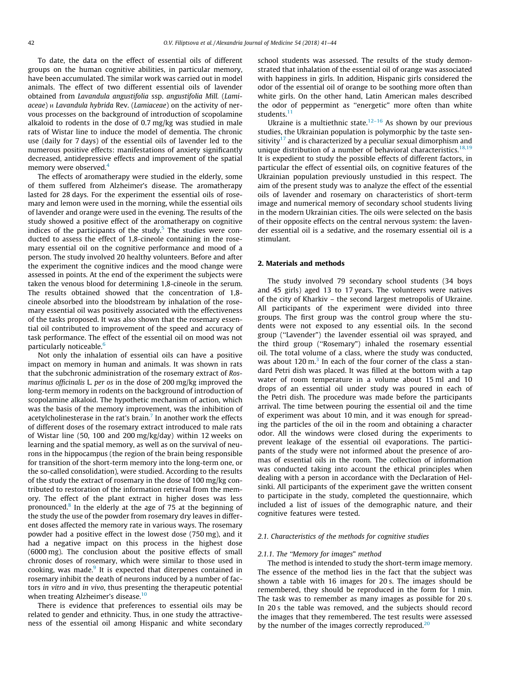To date, the data on the effect of essential oils of different groups on the human cognitive abilities, in particular memory, have been accumulated. The similar work was carried out in model animals. The effect of two different essential oils of lavender obtained from Lavandula angustifolia ssp. angustifolia Mill. (Lamiaceae) u Lavandula hybrida Rev. (Lamiaceae) on the activity of nervous processes on the background of introduction of scopolamine alkaloid to rodents in the dose of 0.7 mg/kg was studied in male rats of Wistar line to induce the model of dementia. The chronic use (daily for 7 days) of the essential oils of lavender led to the numerous positive effects: manifestations of anxiety significantly decreased, antidepressive effects and improvement of the spatial memory were observed.<sup>[4](#page-3-0)</sup>

The effects of aromatherapy were studied in the elderly, some of them suffered from Alzheimer's disease. The aromatherapy lasted for 28 days. For the experiment the essential oils of rosemary and lemon were used in the morning, while the essential oils of lavender and orange were used in the evening. The results of the study showed a positive effect of the aromatherapy on cognitive indices of the participants of the study. $5$  The studies were conducted to assess the effect of 1,8-cineole containing in the rosemary essential oil on the cognitive performance and mood of a person. The study involved 20 healthy volunteers. Before and after the experiment the cognitive indices and the mood change were assessed in points. At the end of the experiment the subjects were taken the venous blood for determining 1,8-cineole in the serum. The results obtained showed that the concentration of 1,8 cineole absorbed into the bloodstream by inhalation of the rosemary essential oil was positively associated with the effectiveness of the tasks proposed. It was also shown that the rosemary essential oil contributed to improvement of the speed and accuracy of task performance. The effect of the essential oil on mood was not particularly noticeable.<sup>6</sup>

Not only the inhalation of essential oils can have a positive impact on memory in human and animals. It was shown in rats that the subchronic administration of the rosemary extract of Rosmarinus officinalis L. per os in the dose of 200 mg/kg improved the long-term memory in rodents on the background of introduction of scopolamine alkaloid. The hypothetic mechanism of action, which was the basis of the memory improvement, was the inhibition of acetylcholinesterase in the rat's brain.<sup>[7](#page-3-0)</sup> In another work the effects of different doses of the rosemary extract introduced to male rats of Wistar line (50, 100 and 200 mg/kg/day) within 12 weeks on learning and the spatial memory, as well as on the survival of neurons in the hippocampus (the region of the brain being responsible for transition of the short-term memory into the long-term one, or the so-called consolidation), were studied. According to the results of the study the extract of rosemary in the dose of 100 mg/kg contributed to restoration of the information retrieval from the memory. The effect of the plant extract in higher doses was less pronounced.[8](#page-3-0) In the elderly at the age of 75 at the beginning of the study the use of the powder from rosemary dry leaves in different doses affected the memory rate in various ways. The rosemary powder had a positive effect in the lowest dose (750 mg), and it had a negative impact on this process in the highest dose (6000 mg). The conclusion about the positive effects of small chronic doses of rosemary, which were similar to those used in cooking, was made. $9$  It is expected that diterpenes contained in rosemary inhibit the death of neurons induced by a number of factors in vitro and in vivo, thus presenting the therapeutic potential when treating Alzheimer's disease.<sup>[10](#page-3-0)</sup>

There is evidence that preferences to essential oils may be related to gender and ethnicity. Thus, in one study the attractiveness of the essential oil among Hispanic and white secondary school students was assessed. The results of the study demonstrated that inhalation of the essential oil of orange was associated with happiness in girls. In addition, Hispanic girls considered the odor of the essential oil of orange to be soothing more often than white girls. On the other hand, Latin American males described the odor of peppermint as ''energetic" more often than white students.<sup>[11](#page-3-0)</sup>

Ukraine is a multiethnic state.<sup>[12–16](#page-3-0)</sup> As shown by our previous studies, the Ukrainian population is polymorphic by the taste sen-sitivity<sup>[17](#page-3-0)</sup> and is characterized by a peculiar sexual dimorphism and unique distribution of a number of behavioral characteristics.<sup>[18,19](#page-3-0)</sup> It is expedient to study the possible effects of different factors, in particular the effect of essential oils, on cognitive features of the Ukrainian population previously unstudied in this respect. The aim of the present study was to analyze the effect of the essential oils of lavender and rosemary on characteristics of short-term image and numerical memory of secondary school students living in the modern Ukrainian cities. The oils were selected on the basis of their opposite effects on the central nervous system: the lavender essential oil is a sedative, and the rosemary essential oil is a stimulant.

#### 2. Materials and methods

The study involved 79 secondary school students (34 boys and 45 girls) aged 13 to 17 years. The volunteers were natives of the city of Kharkiv – the second largest metropolis of Ukraine. All participants of the experiment were divided into three groups. The first group was the control group where the students were not exposed to any essential oils. In the second group (''Lavender") the lavender essential oil was sprayed, and the third group (''Rosemary") inhaled the rosemary essential oil. The total volume of a class, where the study was conducted, was about  $120 \text{ m}^3$  In each of the four corner of the class a standard Petri dish was placed. It was filled at the bottom with a tap water of room temperature in a volume about 15 ml and 10 drops of an essential oil under study was poured in each of the Petri dish. The procedure was made before the participants arrival. The time between pouring the essential oil and the time of experiment was about 10 min, and it was enough for spreading the particles of the oil in the room and obtaining a character odor. All the windows were closed during the experiments to prevent leakage of the essential oil evaporations. The participants of the study were not informed about the presence of aromas of essential oils in the room. The collection of information was conducted taking into account the ethical principles when dealing with a person in accordance with the Declaration of Helsinki. All participants of the experiment gave the written consent to participate in the study, completed the questionnaire, which included a list of issues of the demographic nature, and their cognitive features were tested.

#### 2.1. Characteristics of the methods for cognitive studies

## 2.1.1. The ''Memory for images" method

The method is intended to study the short-term image memory. The essence of the method lies in the fact that the subject was shown a table with 16 images for 20 s. The images should be remembered, they should be reproduced in the form for 1 min. The task was to remember as many images as possible for 20 s. In 20 s the table was removed, and the subjects should record the images that they remembered. The test results were assessed by the number of the images correctly reproduced.<sup>[20](#page-3-0)</sup>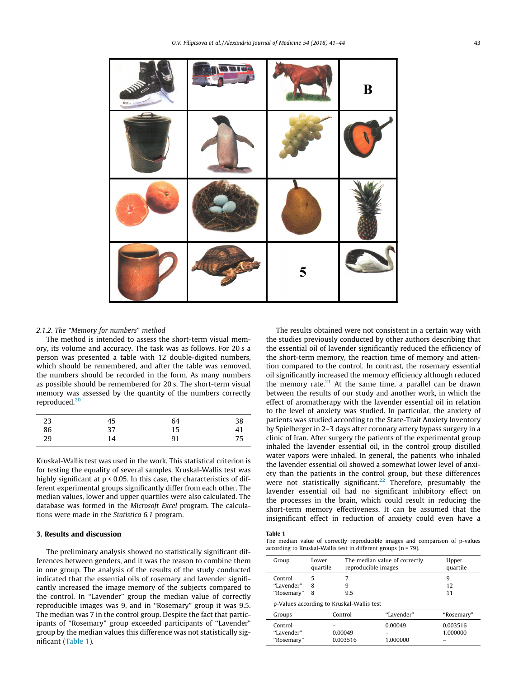

#### 2.1.2. The ''Memory for numbers" method

The method is intended to assess the short-term visual memory, its volume and accuracy. The task was as follows. For 20 s a person was presented a table with 12 double-digited numbers, which should be remembered, and after the table was removed, the numbers should be recorded in the form. As many numbers as possible should be remembered for 20 s. The short-term visual memory was assessed by the quantity of the numbers correctly reproduced.[20](#page-3-0)

| 23 | 45 | 64 | 38 |
|----|----|----|----|
| 86 | 37 | 15 | 41 |
| 29 | 14 | 91 | 75 |

Kruskal-Wallis test was used in the work. This statistical criterion is for testing the equality of several samples. Kruskal-Wallis test was highly significant at  $p < 0.05$ . In this case, the characteristics of different experimental groups significantly differ from each other. The median values, lower and upper quartiles were also calculated. The database was formed in the Microsoft Excel program. The calculations were made in the Statistica 6.1 program.

### 3. Results and discussion

The preliminary analysis showed no statistically significant differences between genders, and it was the reason to combine them in one group. The analysis of the results of the study conducted indicated that the essential oils of rosemary and lavender significantly increased the image memory of the subjects compared to the control. In ''Lavender" group the median value of correctly reproducible images was 9, and in ''Rosemary" group it was 9.5. The median was 7 in the control group. Despite the fact that participants of ''Rosemary" group exceeded participants of ''Lavender" group by the median values this difference was not statistically significant (Table 1).

The results obtained were not consistent in a certain way with the studies previously conducted by other authors describing that the essential oil of lavender significantly reduced the efficiency of the short-term memory, the reaction time of memory and attention compared to the control. In contrast, the rosemary essential oil significantly increased the memory efficiency although reduced the memory rate. $21$  At the same time, a parallel can be drawn between the results of our study and another work, in which the effect of aromatherapy with the lavender essential oil in relation to the level of anxiety was studied. In particular, the anxiety of patients was studied according to the State-Trait Anxiety Inventory by Spielberger in 2–3 days after coronary artery bypass surgery in a clinic of Iran. After surgery the patients of the experimental group inhaled the lavender essential oil, in the control group distilled water vapors were inhaled. In general, the patients who inhaled the lavender essential oil showed a somewhat lower level of anxiety than the patients in the control group, but these differences were not statistically significant.<sup>[22](#page-3-0)</sup> Therefore, presumably the lavender essential oil had no significant inhibitory effect on the processes in the brain, which could result in reducing the short-term memory effectiveness. It can be assumed that the insignificant effect in reduction of anxiety could even have a

#### Table 1

The median value of correctly reproducible images and comparison of p-values according to Kruskal-Wallis test in different groups (n = 79).

|                                           | Group      | Lower<br>quartile |          | The median value of correctly<br>reproducible images | Upper<br>quartile |
|-------------------------------------------|------------|-------------------|----------|------------------------------------------------------|-------------------|
|                                           | Control    | 5                 | 7        |                                                      | 9                 |
|                                           | "Lavender" | 8                 | q        |                                                      | 12                |
|                                           | "Rosemary" | 8                 | 9.5      |                                                      | 11                |
| p-Values according to Kruskal-Wallis test |            |                   |          |                                                      |                   |
|                                           | Groups     | Control           |          | "Lavender"                                           | "Rosemary"        |
|                                           | Control    |                   |          | 0.00049                                              | 0.003516          |
|                                           | "Lavender" |                   | 0.00049  |                                                      | 1.000000          |
|                                           | "Rosemary" |                   | 0.003516 | 1.000000                                             |                   |
|                                           |            |                   |          |                                                      |                   |